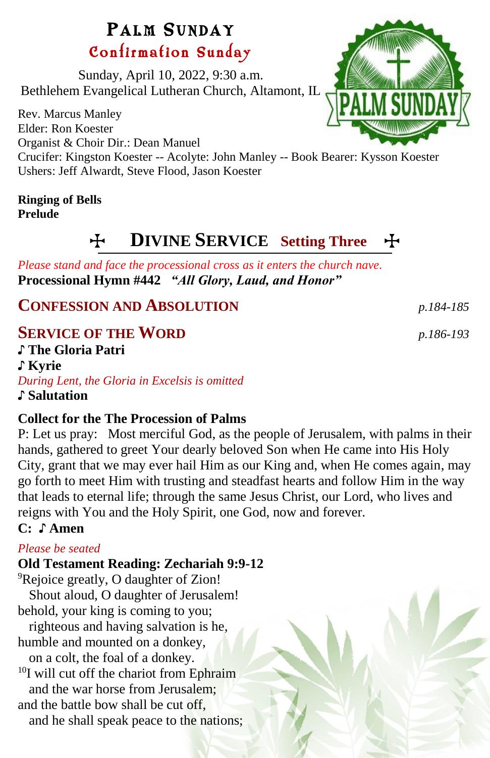# PALM SUNDAY Confirmation Sunday

Sunday, April 10, 2022, 9:30 a.m. Bethlehem Evangelical Lutheran Church, Altamont, IL

Rev. Marcus Manley Elder: Ron Koester Organist & Choir Dir.: Dean Manuel Crucifer: Kingston Koester -- Acolyte: John Manley -- Book Bearer: Kysson Koester Ushers: Jeff Alwardt, Steve Flood, Jason Koester

### **Ringing of Bells Prelude**

# T **DIVINE SERVICE Setting Three** T

*Please stand and face the processional cross as it enters the church nave.* **Processional Hymn #442** *"All Glory, Laud, and Honor"*

**CONFESSION AND ABSOLUTION** *p.184-185*

# **SERVICE OF THE WORD** *p.186-193*

♪ **The Gloria Patri**  ♪ **Kyrie** *During Lent, the Gloria in Excelsis is omitted* ♪ **Salutation**

## **Collect for the The Procession of Palms**

P: Let us pray: Most merciful God, as the people of Jerusalem, with palms in their hands, gathered to greet Your dearly beloved Son when He came into His Holy City, grant that we may ever hail Him as our King and, when He comes again, may go forth to meet Him with trusting and steadfast hearts and follow Him in the way that leads to eternal life; through the same Jesus Christ, our Lord, who lives and reigns with You and the Holy Spirit, one God, now and forever.

# **C: ♪ Amen**

## *Please be seated*

# **Old Testament Reading: Zechariah 9:9-12**

<sup>9</sup>Rejoice greatly, O daughter of Zion!

Shout aloud, O daughter of Jerusalem! behold, your king is coming to you;

righteous and having salvation is he, humble and mounted on a donkey,

on a colt, the foal of a donkey.

<sup>10</sup>I will cut off the chariot from Ephraim and the war horse from Jerusalem;

and the battle bow shall be cut off.

and he shall speak peace to the nations;

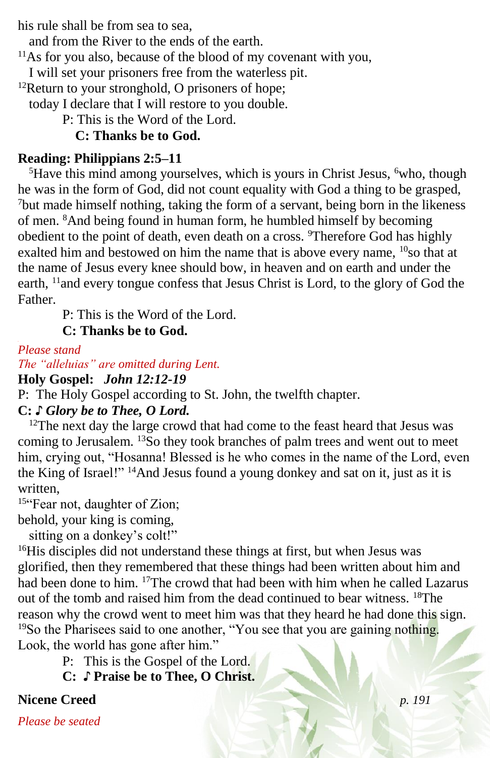his rule shall be from sea to sea,

and from the River to the ends of the earth.

 $11\text{As}$  for you also, because of the blood of my covenant with you,

I will set your prisoners free from the waterless pit.

 $12$ Return to your stronghold, O prisoners of hope;

today I declare that I will restore to you double.

P: This is the Word of the Lord.

**C: Thanks be to God.**

# **Reading: Philippians 2:5–11**

 ${}^{5}$ Have this mind among yourselves, which is yours in Christ Jesus,  ${}^{6}$ who, though he was in the form of God, did not count equality with God a thing to be grasped, <sup>7</sup>but made himself nothing, taking the form of a servant, being born in the likeness of men. <sup>8</sup>And being found in human form, he humbled himself by becoming obedient to the point of death, even death on a cross. <sup>9</sup>Therefore God has highly exalted him and bestowed on him the name that is above every name, <sup>10</sup>so that at the name of Jesus every knee should bow, in heaven and on earth and under the earth, <sup>11</sup>and every tongue confess that Jesus Christ is Lord, to the glory of God the Father.

P: This is the Word of the Lord.

**C: Thanks be to God.**

*Please stand*

*The "alleluias" are omitted during Lent.*

**Holy Gospel:** *John 12:12-19*

P: The Holy Gospel according to St. John, the twelfth chapter.

# **C:** *♪ Glory be to Thee, O Lord.*

<sup>12</sup>The next day the large crowd that had come to the feast heard that Jesus was coming to Jerusalem. <sup>13</sup>So they took branches of palm trees and went out to meet him, crying out, "Hosanna! Blessed is he who comes in the name of the Lord, even the King of Israel!" <sup>14</sup>And Jesus found a young donkey and sat on it, just as it is written,

15"Fear not, daughter of Zion;

behold, your king is coming,

sitting on a donkey's colt!"

<sup>16</sup>His disciples did not understand these things at first, but when Jesus was glorified, then they remembered that these things had been written about him and had been done to him. <sup>17</sup>The crowd that had been with him when he called Lazarus out of the tomb and raised him from the dead continued to bear witness. <sup>18</sup>The reason why the crowd went to meet him was that they heard he had done this sign. <sup>19</sup>So the Pharisees said to one another, "You see that you are gaining nothing. Look, the world has gone after him."

P: This is the Gospel of the Lord.

**C:** ♪ **Praise be to Thee, O Christ.**

# **Nicene Creed** *p. 191*

*Please be seated*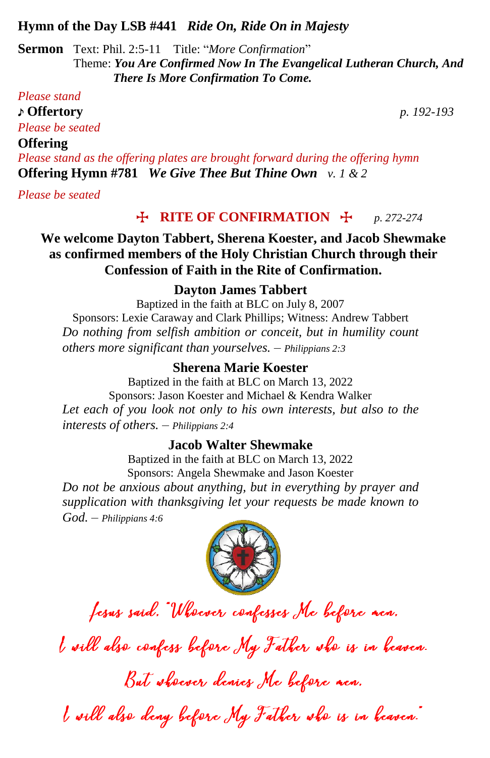#### **Hymn of the Day LSB #441** *Ride On, Ride On in Majesty*

**Sermon** Text: Phil. 2:5-11 Title: "*More Confirmation*" Theme: *You Are Confirmed Now In The Evangelical Lutheran Church, And There Is More Confirmation To Come.*

#### *Please stand*

♪ **Offertory** *p. 192-193*

*Please be seated*

#### **Offering**

*Please stand as the offering plates are brought forward during the offering hymn* **Offering Hymn #781** *We Give Thee But Thine Own v. 1 & 2*

*Please be seated*

## $\bigoplus$  **RITE OF CONFIRMATION**  $\bigoplus$  *p. 272-274*

**We welcome Dayton Tabbert, Sherena Koester, and Jacob Shewmake as confirmed members of the Holy Christian Church through their Confession of Faith in the Rite of Confirmation.**

#### **Dayton James Tabbert**

Baptized in the faith at BLC on July 8, 2007 Sponsors: Lexie Caraway and Clark Phillips; Witness: Andrew Tabbert *Do nothing from selfish ambition or conceit, but in humility count others more significant than yourselves. – Philippians 2:3*

#### **Sherena Marie Koester**

Baptized in the faith at BLC on March 13, 2022 Sponsors: Jason Koester and Michael & Kendra Walker *Let each of you look not only to his own interests, but also to the interests of others. – Philippians 2:4*

#### **Jacob Walter Shewmake**

Baptized in the faith at BLC on March 13, 2022 Sponsors: Angela Shewmake and Jason Koester *Do not be anxious about anything, but in everything by prayer and supplication with thanksgiving let your requests be made known to God. – Philippians 4:6*



fesus said. "Wheever confesses Me before nen.

I will also confess before My Father sho is in heaven.

But shower denies Me before nen.

I will also deny before My Father who is in heaven.